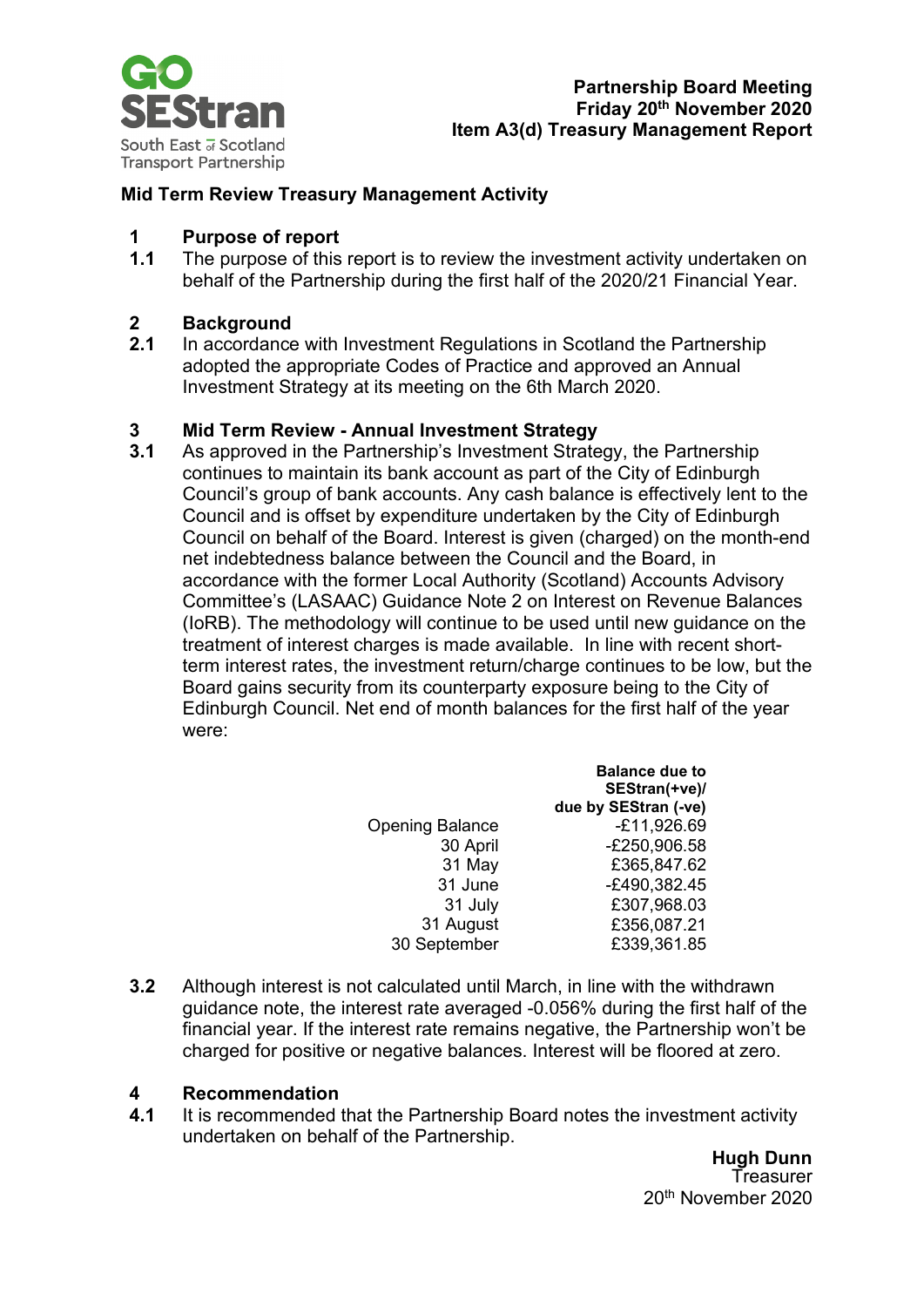

#### **Mid Term Review Treasury Management Activity**

### **1 Purpose of report**

The purpose of this report is to review the investment activity undertaken on behalf of the Partnership during the first half of the 2020/21 Financial Year.

# **2 Background**

**2.1** In accordance with Investment Regulations in Scotland the Partnership adopted the appropriate Codes of Practice and approved an Annual Investment Strategy at its meeting on the 6th March 2020.

# **3 Mid Term Review - Annual Investment Strategy**

**3.1** As approved in the Partnership's Investment Strategy, the Partnership continues to maintain its bank account as part of the City of Edinburgh Council's group of bank accounts. Any cash balance is effectively lent to the Council and is offset by expenditure undertaken by the City of Edinburgh Council on behalf of the Board. Interest is given (charged) on the month-end net indebtedness balance between the Council and the Board, in accordance with the former Local Authority (Scotland) Accounts Advisory Committee's (LASAAC) Guidance Note 2 on Interest on Revenue Balances (IoRB). The methodology will continue to be used until new guidance on the treatment of interest charges is made available. In line with recent shortterm interest rates, the investment return/charge continues to be low, but the Board gains security from its counterparty exposure being to the City of Edinburgh Council. Net end of month balances for the first half of the year were:

|                        | <b>Balance due to</b>                 |
|------------------------|---------------------------------------|
|                        | SEStran(+ve)/<br>due by SEStran (-ve) |
| <b>Opening Balance</b> | $-E11,926.69$                         |
| 30 April               | -£250,906.58                          |
| 31 May                 | £365,847.62                           |
| 31 June                | -£490,382.45                          |
| 31 July                | £307,968.03                           |
| 31 August              | £356,087.21                           |
| 30 September           | £339,361.85                           |

**3.2** Although interest is not calculated until March, in line with the withdrawn guidance note, the interest rate averaged -0.056% during the first half of the financial year. If the interest rate remains negative, the Partnership won't be charged for positive or negative balances. Interest will be floored at zero.

# **4 Recommendation**

**4.1** It is recommended that the Partnership Board notes the investment activity undertaken on behalf of the Partnership.

> **Hugh Dunn Treasurer** 20th November 2020